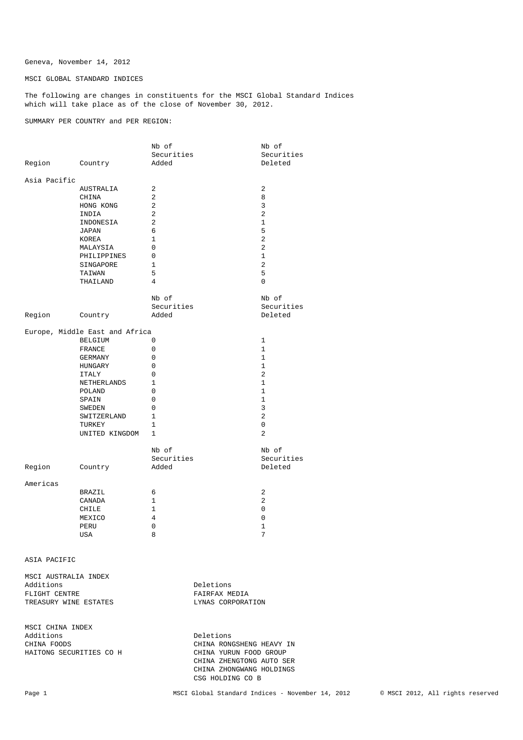Geneva, November 14, 2012

MSCI GLOBAL STANDARD INDICES

The following are changes in constituents for the MSCI Global Standard Indices which will take place as of the close of November 30, 2012.

SUMMARY PER COUNTRY and PER REGION:

|                                |                | Nb of          | Nb of          |  |
|--------------------------------|----------------|----------------|----------------|--|
|                                |                | Securities     | Securities     |  |
| Region Country                 |                | Added          | Deleted        |  |
|                                |                |                |                |  |
| Asia Pacific                   |                |                |                |  |
|                                | AUSTRALIA      | 2              | 2              |  |
|                                | CHINA          | 2              | 8              |  |
|                                | HONG KONG      | 2              | 3              |  |
|                                | INDIA          | 2              | 2              |  |
|                                | INDONESIA      | 2              | $\mathbf{1}$   |  |
|                                | JAPAN          | 6              | 5              |  |
|                                | KOREA          | $\mathbf{1}$   | $\mathbf{2}$   |  |
|                                | MALAYSIA       | 0              | 2              |  |
|                                | PHILIPPINES    | 0              | $\mathbf{1}$   |  |
|                                | SINGAPORE      | $\mathbf{1}$   | 2              |  |
|                                | TAIWAN         | 5              | 5              |  |
|                                | THAILAND       | $\overline{4}$ | 0              |  |
|                                |                |                |                |  |
|                                |                | Nb of          | Nb of          |  |
|                                |                | Securities     | Securities     |  |
|                                | Region Country | Added          | Deleted        |  |
| Europe, Middle East and Africa |                |                |                |  |
|                                | BELGIUM        | $\Omega$       | 1              |  |
|                                | FRANCE         | $\mathbf 0$    | $\mathbf{1}$   |  |
|                                | GERMANY        | 0              | $\mathbf{1}$   |  |
|                                | HUNGARY        | 0              | $\mathbf{1}$   |  |
|                                | ITALY          | $\Omega$       | 2              |  |
|                                | NETHERLANDS    | 1              | 1              |  |
|                                |                | 0              | $\mathbf{1}$   |  |
|                                | POLAND         |                | $\mathbf{1}$   |  |
|                                | SPAIN          | 0              |                |  |
|                                | SWEDEN         | 0              | 3              |  |
|                                | SWITZERLAND    | $\mathbf{1}$   | $\overline{a}$ |  |
|                                | TURKEY         | 1              | 0              |  |
|                                | UNITED KINGDOM | 1              | $\overline{2}$ |  |
|                                |                | Nb of          | Nb of          |  |
|                                |                | Securities     | Securities     |  |
| Region                         | Country        | Added          | Deleted        |  |
|                                |                |                |                |  |
| Americas                       |                |                |                |  |
|                                | BRAZIL         | 6              | 2              |  |
|                                | CANADA         | $\mathbf{1}$   | 2              |  |
|                                | CHILE          | 1              | 0              |  |
|                                | MEXICO         | 4              | 0              |  |
|                                | PERU           | 0              | 1              |  |
|                                | USA            | 8              | 7              |  |
|                                |                |                |                |  |

ASIA PACIFIC

| MSCI AUSTRALIA INDEX  |                   |
|-----------------------|-------------------|
| Additions             | Deletions         |
| FLIGHT CENTRE         | FAIRFAX MEDIA     |
| TREASURY WINE ESTATES | LYNAS CORPORATION |
|                       |                   |

MSCI CHINA INDEX<br>Additions Additions Deletions Deletions<br>CHINA FOODS CHINA RON HAITONG SECURITIES CO H CHINA YURUN FOOD GROUP

CHINA RONGSHENG HEAVY IN CHINA ZHENGTONG AUTO SER CHINA ZHONGWANG HOLDINGS CSG HOLDING CO B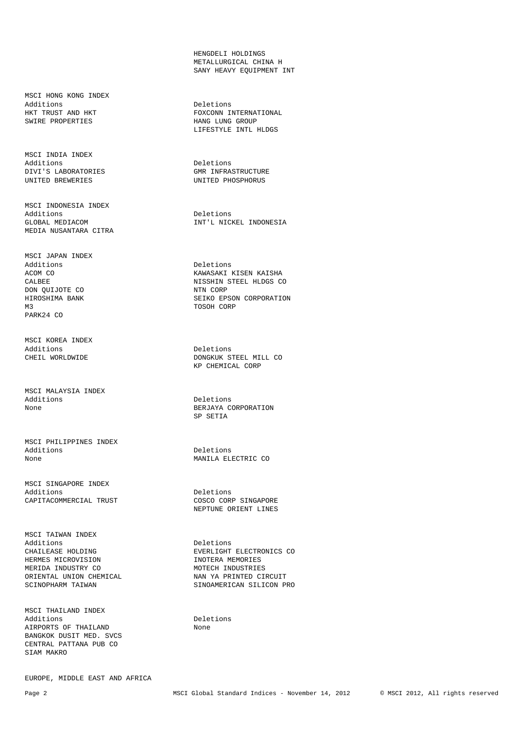MSCI HONG KONG INDEX Additions Deletions SWIRE PROPERTIES

MSCI INDIA INDEX<br>Additions DIVI'S LABORATORIES GMR INFRASTRUCTURE UNITED BREWERIES

MSCI INDONESIA INDEX Additions Deletions MEDIA NUSANTARA CITRA

MSCI JAPAN INDEX DON QUIJOTE CO NTN CORP M3 TOSOH CORP PARK24 CO

MSCI KOREA INDEX Additions Deletions

MSCI MALAYSIA INDEX

MSCI PHILIPPINES INDEX Additions Deletions Deletions Deletions and Deletions Deletions of the MANILA EL

MSCI SINGAPORE INDEX Additions<br>
CAPITACOMMERCIAL TRUST<br>
COSCO CORP SINGAPORE CAPITACOMMERCIAL TRUST

MSCI TAIWAN INDEX Additions Deletions Deletions<br>
CHAILEASE HOLDING CHAILEAFE EVERLIGHT HERMES MICROVISION **INOTERA MEMORIES** MERIDA INDUSTRY CO MOTECH INDUSTRIES ORIENTAL UNION CHEMICAL NAN YA PRINTED CIRCUIT

MSCI THAILAND INDEX Additions Deletions AIRPORTS OF THAILAND None BANGKOK DUSIT MED. SVCS CENTRAL PATTANA PUB CO SIAM MAKRO

EUROPE, MIDDLE EAST AND AFRICA

 HENGDELI HOLDINGS METALLURGICAL CHINA H SANY HEAVY EQUIPMENT INT

HKT TRUST AND HKT FOXCONN INTERNATIONAL SWIRE PROPERTIES LIFESTYLE INTL HLDGS

> Deletions UNITED PHOSPHORUS

GLOBAL MEDIACOM INT'L NICKEL INDONESIA

Deletions ACOM CO KAWASAKI KISEN KAISHA CALBEE NISSHIN STEEL HLDGS CO HIROSHIMA BANK SEIKO EPSON CORPORATION

CHEIL WORLDWIDE **DONGKUK STEEL MILL CO** KP CHEMICAL CORP

Deletions None BERJAYA CORPORATION SP SETIA

MANILA ELECTRIC CO

NEPTUNE ORIENT LINES

CHAILEASE HOLDING EVERLIGHT ELECTRONICS CO SCINOPHARM TAIWAN SINOAMERICAN SILICON PRO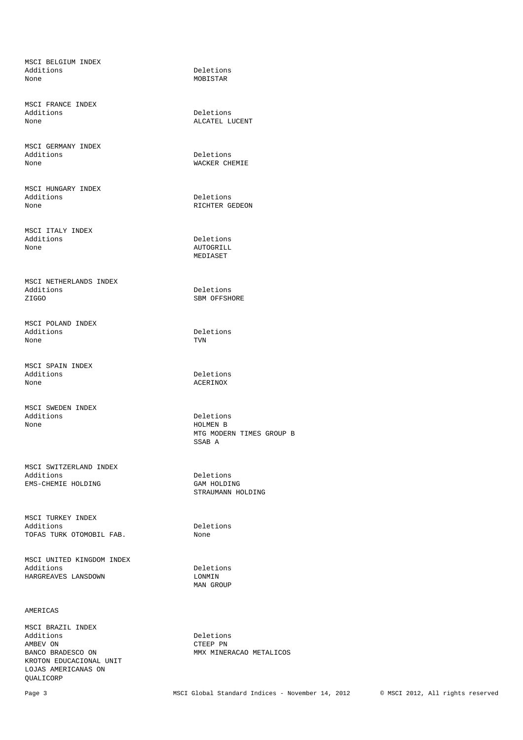MSCI BELGIUM INDEX Additions Deletions Deletions Deletions None

MSCI FRANCE INDEX Additions Deletions Deletions Deletions ALCATEL L

MSCI GERMANY INDEX Additions Deletions Deletions Deletions and Deletions Deletions of the MACKER CH

MSCI HUNGARY INDEX Additions Deletions Deletions Deletions Deletions Deletions Deletions Deletions Deletions Deletions Deletions D

MSCI ITALY INDEX Additions Deletions Deletions Deletions and Deletions Deletions of the Material School and Deletions and Deletions and Deletions and Deletions and Deletions and Deletions and Deletions and Deletions and Deletions and Delet

MSCI NETHERLANDS INDEX Additions Deletions ZIGGO SBM OFFSHORE

MSCI POLAND INDEX<br>Additions Additions Deletions Deletions<br>None TVN None TVN

MSCI SPAIN INDEX Additions Deletions Deletions<br>None ACERINOX

MSCI SWEDEN INDEX Additions Deletions Deletions<br>None HOLMEN B

MSCI SWITZERLAND INDEX Additions Deletions EMS-CHEMIE HOLDING GAM HOLDING

MSCI TURKEY INDEX Additions Deletions TOFAS TURK OTOMOBIL FAB. None

MSCI UNITED KINGDOM INDEX Additions Deletions HARGREAVES LANSDOWN LONMIN

### AMERICAS

MSCI BRAZIL INDEX Additions Deletions Deletions Deletions Deletions Deletions Deletions Deletions Deletions Deletions Deletions D AMBEV ON GTEEP PN CTEEP PN BANCO BRADESCO ON MMX MINE KROTON EDUCACIONAL UNIT LOJAS AMERICANAS ON QUALICORP

MOBISTAR

ALCATEL LUCENT

WACKER CHEMIE

RICHTER GEDEON

AUTOGRILL MEDIASET

**ACERINOX** 

HOLMEN B MTG MODERN TIMES GROUP B SSAB A

STRAUMANN HOLDING

MAN GROUP

MMX MINERACAO METALICOS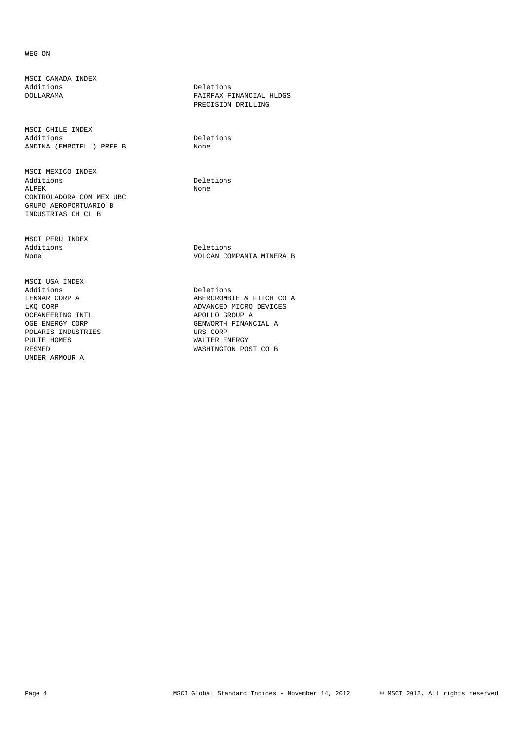## WEG ON

MSCI CANADA INDEX

MSCI CHILE INDEX Additions Deletions ANDINA (EMBOTEL.) PREF B None

MSCI MEXICO INDEX ALPEK None CONTROLADORA COM MEX UBC GRUPO AEROPORTUARIO B INDUSTRIAS CH CL B

MSCI PERU INDEX Additions Deletions

MSCI USA INDEX Additions Deletions OCEANEERING INTL<br>
OGE ENERGY CORP<br>
OGE ENERGY CORP POLARIS INDUSTRIES<br>PULTE HOMES PULTE HOMES WALTER ENERGY UNDER ARMOUR A

Deletions DOLLARAMA FAIRFAX FINANCIAL HLDGS PRECISION DRILLING

Deletions

None VOLCAN COMPANIA MINERA B

LENNAR CORP A CORP A CONSERCROMBIE & FITCH CO A LKO CORP ADVANCED MICRO DEVICES GENWORTH FINANCIAL A<br>URS CORP WASHINGTON POST CO B